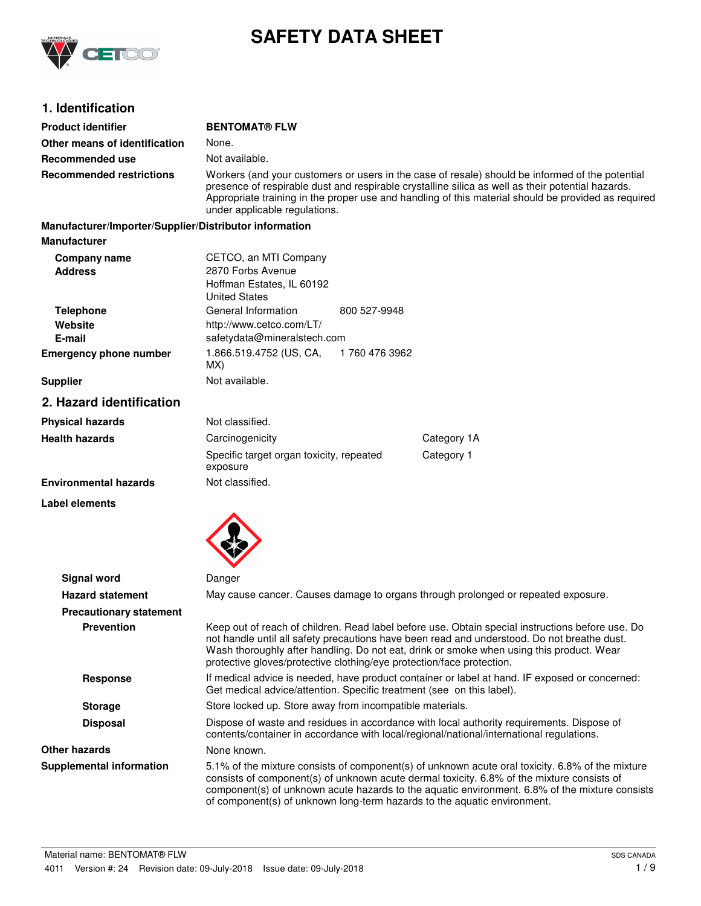

# **SAFETY DATA SHEET**

# **1. Identification**

| <b>Product identifier</b>                              | <b>BENTOMAT® FLW</b>                                                                                                                                                                                                                                                                                                                         |               |                                                                                                                                                                                                                                                                                                  |
|--------------------------------------------------------|----------------------------------------------------------------------------------------------------------------------------------------------------------------------------------------------------------------------------------------------------------------------------------------------------------------------------------------------|---------------|--------------------------------------------------------------------------------------------------------------------------------------------------------------------------------------------------------------------------------------------------------------------------------------------------|
| Other means of identification                          | None.                                                                                                                                                                                                                                                                                                                                        |               |                                                                                                                                                                                                                                                                                                  |
| Recommended use                                        | Not available.                                                                                                                                                                                                                                                                                                                               |               |                                                                                                                                                                                                                                                                                                  |
| <b>Recommended restrictions</b>                        | Workers (and your customers or users in the case of resale) should be informed of the potential<br>presence of respirable dust and respirable crystalline silica as well as their potential hazards.<br>Appropriate training in the proper use and handling of this material should be provided as required<br>under applicable regulations. |               |                                                                                                                                                                                                                                                                                                  |
| Manufacturer/Importer/Supplier/Distributor information |                                                                                                                                                                                                                                                                                                                                              |               |                                                                                                                                                                                                                                                                                                  |
| <b>Manufacturer</b>                                    |                                                                                                                                                                                                                                                                                                                                              |               |                                                                                                                                                                                                                                                                                                  |
| Company name<br><b>Address</b>                         | CETCO, an MTI Company<br>2870 Forbs Avenue<br>Hoffman Estates, IL 60192<br><b>United States</b>                                                                                                                                                                                                                                              |               |                                                                                                                                                                                                                                                                                                  |
| <b>Telephone</b>                                       | General Information                                                                                                                                                                                                                                                                                                                          | 800 527-9948  |                                                                                                                                                                                                                                                                                                  |
| Website                                                | http://www.cetco.com/LT/                                                                                                                                                                                                                                                                                                                     |               |                                                                                                                                                                                                                                                                                                  |
| E-mail                                                 | safetydata@mineralstech.com                                                                                                                                                                                                                                                                                                                  |               |                                                                                                                                                                                                                                                                                                  |
| <b>Emergency phone number</b>                          | 1.866.519.4752 (US, CA,<br>MX)                                                                                                                                                                                                                                                                                                               | 1760 476 3962 |                                                                                                                                                                                                                                                                                                  |
| <b>Supplier</b>                                        | Not available.                                                                                                                                                                                                                                                                                                                               |               |                                                                                                                                                                                                                                                                                                  |
| 2. Hazard identification                               |                                                                                                                                                                                                                                                                                                                                              |               |                                                                                                                                                                                                                                                                                                  |
| <b>Physical hazards</b>                                | Not classified.                                                                                                                                                                                                                                                                                                                              |               |                                                                                                                                                                                                                                                                                                  |
| <b>Health hazards</b>                                  | Carcinogenicity                                                                                                                                                                                                                                                                                                                              |               | Category 1A                                                                                                                                                                                                                                                                                      |
|                                                        | Specific target organ toxicity, repeated<br>exposure                                                                                                                                                                                                                                                                                         |               | Category 1                                                                                                                                                                                                                                                                                       |
| <b>Environmental hazards</b>                           | Not classified.                                                                                                                                                                                                                                                                                                                              |               |                                                                                                                                                                                                                                                                                                  |
| Label elements                                         |                                                                                                                                                                                                                                                                                                                                              |               |                                                                                                                                                                                                                                                                                                  |
|                                                        |                                                                                                                                                                                                                                                                                                                                              |               |                                                                                                                                                                                                                                                                                                  |
| <b>Signal word</b>                                     | Danger                                                                                                                                                                                                                                                                                                                                       |               |                                                                                                                                                                                                                                                                                                  |
| <b>Hazard statement</b>                                |                                                                                                                                                                                                                                                                                                                                              |               | May cause cancer. Causes damage to organs through prolonged or repeated exposure.                                                                                                                                                                                                                |
| <b>Precautionary statement</b>                         |                                                                                                                                                                                                                                                                                                                                              |               |                                                                                                                                                                                                                                                                                                  |
| <b>Prevention</b>                                      | protective gloves/protective clothing/eye protection/face protection.                                                                                                                                                                                                                                                                        |               | Keep out of reach of children. Read label before use. Obtain special instructions before use. Do<br>not handle until all safety precautions have been read and understood. Do not breathe dust.<br>Wash thoroughly after handling. Do not eat, drink or smoke when using this product. Wear      |
| <b>Response</b>                                        | If medical advice is needed, have product container or label at hand. IF exposed or concerned:<br>Get medical advice/attention. Specific treatment (see on this label).                                                                                                                                                                      |               |                                                                                                                                                                                                                                                                                                  |
| <b>Storage</b>                                         | Store locked up. Store away from incompatible materials.                                                                                                                                                                                                                                                                                     |               |                                                                                                                                                                                                                                                                                                  |
| <b>Disposal</b>                                        | Dispose of waste and residues in accordance with local authority requirements. Dispose of<br>contents/container in accordance with local/regional/national/international regulations.                                                                                                                                                        |               |                                                                                                                                                                                                                                                                                                  |
| <b>Other hazards</b>                                   | None known.                                                                                                                                                                                                                                                                                                                                  |               |                                                                                                                                                                                                                                                                                                  |
| <b>Supplemental information</b>                        | of component(s) of unknown long-term hazards to the aquatic environment.                                                                                                                                                                                                                                                                     |               | 5.1% of the mixture consists of component(s) of unknown acute oral toxicity. 6.8% of the mixture<br>consists of component(s) of unknown acute dermal toxicity. 6.8% of the mixture consists of<br>component(s) of unknown acute hazards to the aquatic environment. 6.8% of the mixture consists |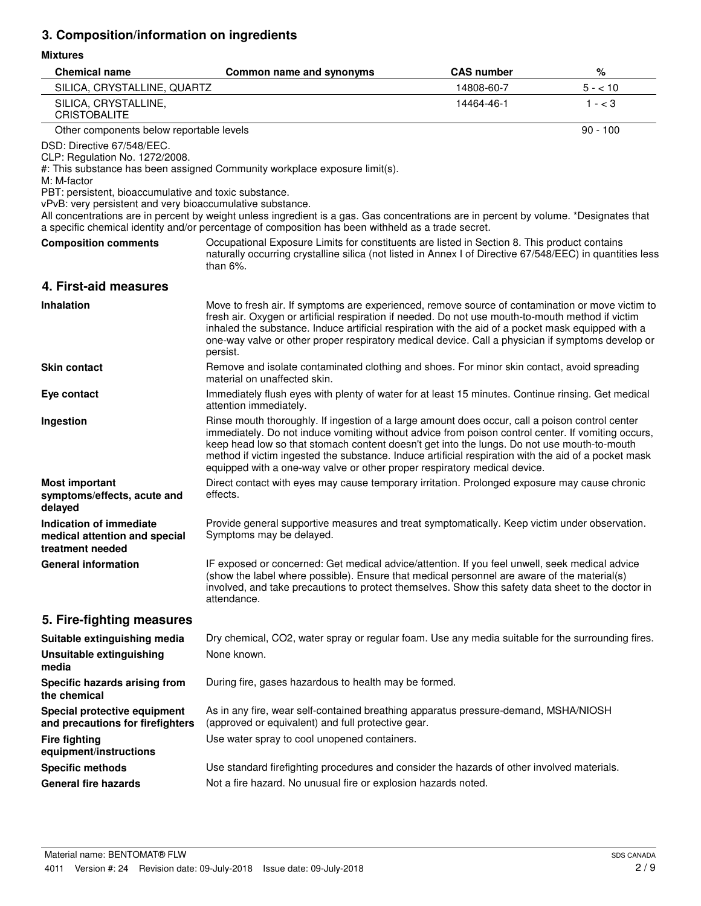# **3. Composition/information on ingredients**

## **Mixtures**

| <b>Chemical name</b>                                                                                                                                                                              | Common name and synonyms                                                                                                                                                                                                                                                                                                                                                                                                                                                                  | <b>CAS number</b> | %          |
|---------------------------------------------------------------------------------------------------------------------------------------------------------------------------------------------------|-------------------------------------------------------------------------------------------------------------------------------------------------------------------------------------------------------------------------------------------------------------------------------------------------------------------------------------------------------------------------------------------------------------------------------------------------------------------------------------------|-------------------|------------|
| SILICA, CRYSTALLINE, QUARTZ                                                                                                                                                                       |                                                                                                                                                                                                                                                                                                                                                                                                                                                                                           | 14808-60-7        | $5 - 10$   |
| SILICA, CRYSTALLINE,<br><b>CRISTOBALITE</b>                                                                                                                                                       |                                                                                                                                                                                                                                                                                                                                                                                                                                                                                           | 14464-46-1        | $1 - < 3$  |
| Other components below reportable levels                                                                                                                                                          |                                                                                                                                                                                                                                                                                                                                                                                                                                                                                           |                   | $90 - 100$ |
| DSD: Directive 67/548/EEC.<br>CLP: Regulation No. 1272/2008.<br>M: M-factor<br>PBT: persistent, bioaccumulative and toxic substance.<br>vPvB: very persistent and very bioaccumulative substance. | #: This substance has been assigned Community workplace exposure limit(s).                                                                                                                                                                                                                                                                                                                                                                                                                |                   |            |
|                                                                                                                                                                                                   | All concentrations are in percent by weight unless ingredient is a gas. Gas concentrations are in percent by volume. *Designates that<br>a specific chemical identity and/or percentage of composition has been withheld as a trade secret.                                                                                                                                                                                                                                               |                   |            |
| <b>Composition comments</b>                                                                                                                                                                       | Occupational Exposure Limits for constituents are listed in Section 8. This product contains<br>naturally occurring crystalline silica (not listed in Annex I of Directive 67/548/EEC) in quantities less<br>than $6\%$ .                                                                                                                                                                                                                                                                 |                   |            |
| 4. First-aid measures                                                                                                                                                                             |                                                                                                                                                                                                                                                                                                                                                                                                                                                                                           |                   |            |
| <b>Inhalation</b>                                                                                                                                                                                 | Move to fresh air. If symptoms are experienced, remove source of contamination or move victim to<br>fresh air. Oxygen or artificial respiration if needed. Do not use mouth-to-mouth method if victim<br>inhaled the substance. Induce artificial respiration with the aid of a pocket mask equipped with a<br>one-way valve or other proper respiratory medical device. Call a physician if symptoms develop or<br>persist.                                                              |                   |            |
| <b>Skin contact</b>                                                                                                                                                                               | Remove and isolate contaminated clothing and shoes. For minor skin contact, avoid spreading<br>material on unaffected skin.                                                                                                                                                                                                                                                                                                                                                               |                   |            |
| Eye contact                                                                                                                                                                                       | Immediately flush eyes with plenty of water for at least 15 minutes. Continue rinsing. Get medical<br>attention immediately.                                                                                                                                                                                                                                                                                                                                                              |                   |            |
| Ingestion                                                                                                                                                                                         | Rinse mouth thoroughly. If ingestion of a large amount does occur, call a poison control center<br>immediately. Do not induce vomiting without advice from poison control center. If vomiting occurs,<br>keep head low so that stomach content doesn't get into the lungs. Do not use mouth-to-mouth<br>method if victim ingested the substance. Induce artificial respiration with the aid of a pocket mask<br>equipped with a one-way valve or other proper respiratory medical device. |                   |            |
| <b>Most important</b><br>symptoms/effects, acute and<br>delayed                                                                                                                                   | Direct contact with eyes may cause temporary irritation. Prolonged exposure may cause chronic<br>effects.                                                                                                                                                                                                                                                                                                                                                                                 |                   |            |
| Indication of immediate<br>medical attention and special<br>treatment needed                                                                                                                      | Provide general supportive measures and treat symptomatically. Keep victim under observation.<br>Symptoms may be delayed.                                                                                                                                                                                                                                                                                                                                                                 |                   |            |
| <b>General information</b>                                                                                                                                                                        | IF exposed or concerned: Get medical advice/attention. If you feel unwell, seek medical advice<br>(show the label where possible). Ensure that medical personnel are aware of the material(s)<br>involved, and take precautions to protect themselves. Show this safety data sheet to the doctor in<br>attendance.                                                                                                                                                                        |                   |            |
| 5. Fire-fighting measures                                                                                                                                                                         |                                                                                                                                                                                                                                                                                                                                                                                                                                                                                           |                   |            |
| Suitable extinguishing media                                                                                                                                                                      | Dry chemical, CO2, water spray or regular foam. Use any media suitable for the surrounding fires.                                                                                                                                                                                                                                                                                                                                                                                         |                   |            |
| Unsuitable extinguishing<br>media                                                                                                                                                                 | None known.                                                                                                                                                                                                                                                                                                                                                                                                                                                                               |                   |            |
| Specific hazards arising from<br>the chemical                                                                                                                                                     | During fire, gases hazardous to health may be formed.                                                                                                                                                                                                                                                                                                                                                                                                                                     |                   |            |
| Special protective equipment<br>and precautions for firefighters                                                                                                                                  | As in any fire, wear self-contained breathing apparatus pressure-demand, MSHA/NIOSH<br>(approved or equivalent) and full protective gear.                                                                                                                                                                                                                                                                                                                                                 |                   |            |
| <b>Fire fighting</b><br>equipment/instructions                                                                                                                                                    | Use water spray to cool unopened containers.                                                                                                                                                                                                                                                                                                                                                                                                                                              |                   |            |
| <b>Specific methods</b>                                                                                                                                                                           | Use standard firefighting procedures and consider the hazards of other involved materials.                                                                                                                                                                                                                                                                                                                                                                                                |                   |            |
| <b>General fire hazards</b>                                                                                                                                                                       | Not a fire hazard. No unusual fire or explosion hazards noted.                                                                                                                                                                                                                                                                                                                                                                                                                            |                   |            |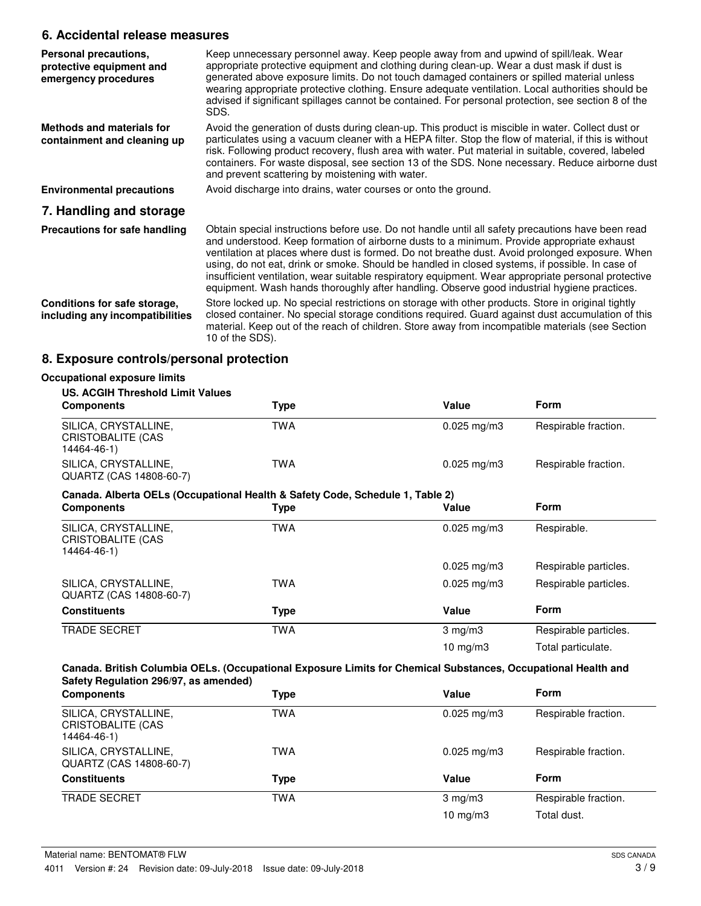# **6. Accidental release measures**

| Personal precautions,<br>protective equipment and<br>emergency procedures | Keep unnecessary personnel away. Keep people away from and upwind of spill/leak. Wear<br>appropriate protective equipment and clothing during clean-up. Wear a dust mask if dust is<br>generated above exposure limits. Do not touch damaged containers or spilled material unless<br>wearing appropriate protective clothing. Ensure adequate ventilation. Local authorities should be<br>advised if significant spillages cannot be contained. For personal protection, see section 8 of the<br>SDS.                                                                                                      |
|---------------------------------------------------------------------------|-------------------------------------------------------------------------------------------------------------------------------------------------------------------------------------------------------------------------------------------------------------------------------------------------------------------------------------------------------------------------------------------------------------------------------------------------------------------------------------------------------------------------------------------------------------------------------------------------------------|
| Methods and materials for<br>containment and cleaning up                  | Avoid the generation of dusts during clean-up. This product is miscible in water. Collect dust or<br>particulates using a vacuum cleaner with a HEPA filter. Stop the flow of material, if this is without<br>risk. Following product recovery, flush area with water. Put material in suitable, covered, labeled<br>containers. For waste disposal, see section 13 of the SDS. None necessary. Reduce airborne dust<br>and prevent scattering by moistening with water.                                                                                                                                    |
| <b>Environmental precautions</b>                                          | Avoid discharge into drains, water courses or onto the ground.                                                                                                                                                                                                                                                                                                                                                                                                                                                                                                                                              |
| 7. Handling and storage                                                   |                                                                                                                                                                                                                                                                                                                                                                                                                                                                                                                                                                                                             |
| Precautions for safe handling                                             | Obtain special instructions before use. Do not handle until all safety precautions have been read<br>and understood. Keep formation of airborne dusts to a minimum. Provide appropriate exhaust<br>ventilation at places where dust is formed. Do not breathe dust. Avoid prolonged exposure. When<br>using, do not eat, drink or smoke. Should be handled in closed systems, if possible. In case of<br>insufficient ventilation, wear suitable respiratory equipment. Wear appropriate personal protective<br>equipment. Wash hands thoroughly after handling. Observe good industrial hygiene practices. |
| Conditions for safe storage,<br>including any incompatibilities           | Store locked up. No special restrictions on storage with other products. Store in original tightly<br>closed container. No special storage conditions required. Guard against dust accumulation of this<br>material. Keep out of the reach of children. Store away from incompatible materials (see Section<br>10 of the SDS).                                                                                                                                                                                                                                                                              |

# **8. Exposure controls/personal protection**

| <b>US. ACGIH Threshold Limit Values</b>                                       |            |                         |                       |
|-------------------------------------------------------------------------------|------------|-------------------------|-----------------------|
| <b>Components</b>                                                             | Type       | Value                   | Form                  |
| SILICA, CRYSTALLINE,<br>CRISTOBALITE (CAS<br>14464-46-1)                      | <b>TWA</b> | $0.025$ mg/m3           | Respirable fraction.  |
| SILICA, CRYSTALLINE,<br>QUARTZ (CAS 14808-60-7)                               | <b>TWA</b> | $0.025 \,\mathrm{mg/m}$ | Respirable fraction.  |
| Canada. Alberta OELs (Occupational Health & Safety Code, Schedule 1, Table 2) |            |                         |                       |
| <b>Components</b>                                                             | Type       | Value                   | Form                  |
| SILICA, CRYSTALLINE,<br>CRISTOBALITE (CAS<br>14464-46-1)                      | <b>TWA</b> | $0.025$ mg/m3           | Respirable.           |
|                                                                               |            | $0.025 \,\mathrm{mg/m}$ | Respirable particles. |
| SILICA, CRYSTALLINE,<br>QUARTZ (CAS 14808-60-7)                               | <b>TWA</b> | $0.025 \,\mathrm{mg/m}$ | Respirable particles. |
| <b>Constituents</b>                                                           | Type       | Value                   | Form                  |
| <b>TRADE SECRET</b>                                                           | <b>TWA</b> | $3 \text{ mg/m}$        | Respirable particles. |
|                                                                               |            | 10 mg/m $3$             | Total particulate.    |

| <b>Components</b>                                        | Type | Value                   | <b>Form</b>          |
|----------------------------------------------------------|------|-------------------------|----------------------|
| SILICA, CRYSTALLINE,<br>CRISTOBALITE (CAS<br>14464-46-1) | TWA  | $0.025 \text{ mg/m}$ 3  | Respirable fraction. |
| SILICA, CRYSTALLINE,<br>QUARTZ (CAS 14808-60-7)          | TWA  | $0.025 \,\mathrm{mg/m}$ | Respirable fraction. |
| <b>Constituents</b>                                      | Type | Value                   | <b>Form</b>          |
| <b>TRADE SECRET</b>                                      | TWA  | $3 \text{ mg/m}$        | Respirable fraction. |
|                                                          |      | $10 \text{ mg/m}$       | Total dust.          |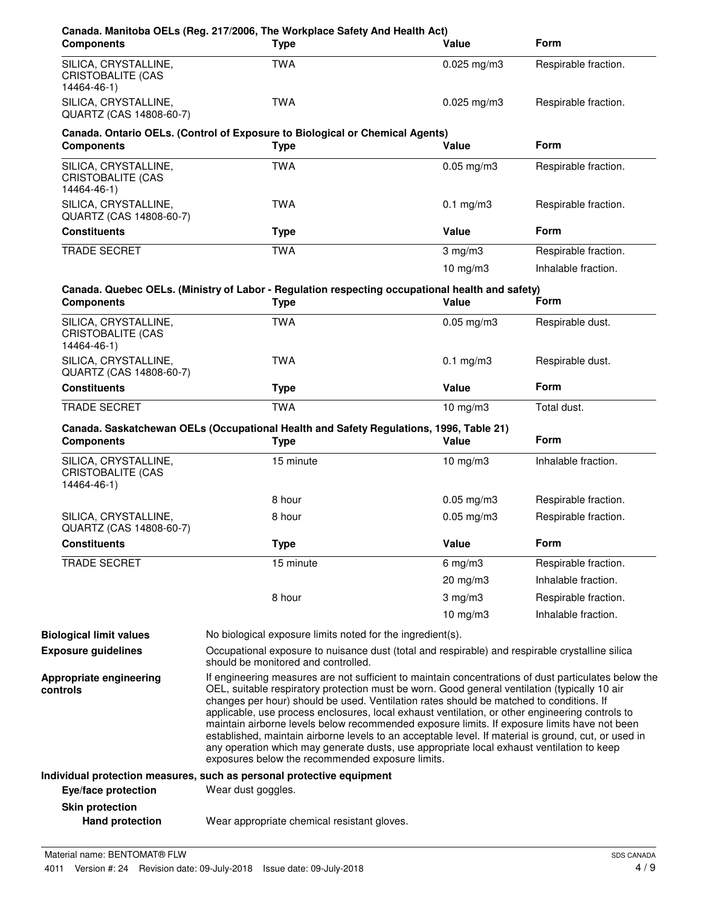| <b>Components</b>                                               | Canada. Manitoba OELs (Reg. 217/2006, The Workplace Safety And Health Act)<br><b>Type</b>                                                                                                                                                                                                                                                                                                                                                                                                                                                                                                                                                                                                                                                                    | Value           | <b>Form</b>          |
|-----------------------------------------------------------------|--------------------------------------------------------------------------------------------------------------------------------------------------------------------------------------------------------------------------------------------------------------------------------------------------------------------------------------------------------------------------------------------------------------------------------------------------------------------------------------------------------------------------------------------------------------------------------------------------------------------------------------------------------------------------------------------------------------------------------------------------------------|-----------------|----------------------|
| SILICA, CRYSTALLINE,<br>CRISTOBALITE (CAS<br>14464-46-1)        | <b>TWA</b>                                                                                                                                                                                                                                                                                                                                                                                                                                                                                                                                                                                                                                                                                                                                                   | $0.025$ mg/m3   | Respirable fraction. |
| SILICA, CRYSTALLINE,<br>QUARTZ (CAS 14808-60-7)                 | <b>TWA</b>                                                                                                                                                                                                                                                                                                                                                                                                                                                                                                                                                                                                                                                                                                                                                   | $0.025$ mg/m3   | Respirable fraction. |
| <b>Components</b>                                               | Canada. Ontario OELs. (Control of Exposure to Biological or Chemical Agents)<br><b>Type</b>                                                                                                                                                                                                                                                                                                                                                                                                                                                                                                                                                                                                                                                                  | Value           | <b>Form</b>          |
| SILICA, CRYSTALLINE,<br><b>CRISTOBALITE (CAS</b><br>14464-46-1) | <b>TWA</b>                                                                                                                                                                                                                                                                                                                                                                                                                                                                                                                                                                                                                                                                                                                                                   | $0.05$ mg/m $3$ | Respirable fraction. |
| SILICA, CRYSTALLINE,<br>QUARTZ (CAS 14808-60-7)                 | <b>TWA</b>                                                                                                                                                                                                                                                                                                                                                                                                                                                                                                                                                                                                                                                                                                                                                   | $0.1$ mg/m $3$  | Respirable fraction. |
| <b>Constituents</b>                                             | <b>Type</b>                                                                                                                                                                                                                                                                                                                                                                                                                                                                                                                                                                                                                                                                                                                                                  | Value           | <b>Form</b>          |
| <b>TRADE SECRET</b>                                             | <b>TWA</b>                                                                                                                                                                                                                                                                                                                                                                                                                                                                                                                                                                                                                                                                                                                                                   | $3$ mg/m $3$    | Respirable fraction. |
|                                                                 |                                                                                                                                                                                                                                                                                                                                                                                                                                                                                                                                                                                                                                                                                                                                                              | $10$ mg/m $3$   | Inhalable fraction.  |
| <b>Components</b>                                               | Canada. Quebec OELs. (Ministry of Labor - Regulation respecting occupational health and safety)<br><b>Type</b>                                                                                                                                                                                                                                                                                                                                                                                                                                                                                                                                                                                                                                               | Value           | Form                 |
| SILICA, CRYSTALLINE,<br><b>CRISTOBALITE (CAS</b><br>14464-46-1) | <b>TWA</b>                                                                                                                                                                                                                                                                                                                                                                                                                                                                                                                                                                                                                                                                                                                                                   | $0.05$ mg/m $3$ | Respirable dust.     |
| SILICA, CRYSTALLINE,<br>QUARTZ (CAS 14808-60-7)                 | <b>TWA</b>                                                                                                                                                                                                                                                                                                                                                                                                                                                                                                                                                                                                                                                                                                                                                   | $0.1$ mg/m $3$  | Respirable dust.     |
| <b>Constituents</b>                                             | <b>Type</b>                                                                                                                                                                                                                                                                                                                                                                                                                                                                                                                                                                                                                                                                                                                                                  | Value           | <b>Form</b>          |
| TRADE SECRET                                                    | <b>TWA</b>                                                                                                                                                                                                                                                                                                                                                                                                                                                                                                                                                                                                                                                                                                                                                   | $10$ mg/m $3$   | Total dust.          |
| <b>Components</b>                                               | Canada. Saskatchewan OELs (Occupational Health and Safety Regulations, 1996, Table 21)<br><b>Type</b>                                                                                                                                                                                                                                                                                                                                                                                                                                                                                                                                                                                                                                                        | Value           | <b>Form</b>          |
| SILICA, CRYSTALLINE,<br><b>CRISTOBALITE (CAS</b><br>14464-46-1) | 15 minute                                                                                                                                                                                                                                                                                                                                                                                                                                                                                                                                                                                                                                                                                                                                                    | $10$ mg/m $3$   | Inhalable fraction.  |
|                                                                 | 8 hour                                                                                                                                                                                                                                                                                                                                                                                                                                                                                                                                                                                                                                                                                                                                                       | $0.05$ mg/m3    | Respirable fraction. |
| SILICA, CRYSTALLINE,<br>QUARTZ (CAS 14808-60-7)                 | 8 hour                                                                                                                                                                                                                                                                                                                                                                                                                                                                                                                                                                                                                                                                                                                                                       | $0.05$ mg/m $3$ | Respirable fraction. |
| <b>Constituents</b>                                             | <b>Type</b>                                                                                                                                                                                                                                                                                                                                                                                                                                                                                                                                                                                                                                                                                                                                                  | Value           | Form                 |
| <b>TRADE SECRET</b>                                             | 15 minute                                                                                                                                                                                                                                                                                                                                                                                                                                                                                                                                                                                                                                                                                                                                                    | $6$ mg/m $3$    | Respirable fraction. |
|                                                                 |                                                                                                                                                                                                                                                                                                                                                                                                                                                                                                                                                                                                                                                                                                                                                              | 20 mg/m3        | Inhalable fraction.  |
|                                                                 | 8 hour                                                                                                                                                                                                                                                                                                                                                                                                                                                                                                                                                                                                                                                                                                                                                       | $3$ mg/m $3$    | Respirable fraction. |
|                                                                 |                                                                                                                                                                                                                                                                                                                                                                                                                                                                                                                                                                                                                                                                                                                                                              | 10 $mg/m3$      | Inhalable fraction.  |
| <b>Biological limit values</b>                                  | No biological exposure limits noted for the ingredient(s).                                                                                                                                                                                                                                                                                                                                                                                                                                                                                                                                                                                                                                                                                                   |                 |                      |
| <b>Exposure guidelines</b>                                      | Occupational exposure to nuisance dust (total and respirable) and respirable crystalline silica<br>should be monitored and controlled.                                                                                                                                                                                                                                                                                                                                                                                                                                                                                                                                                                                                                       |                 |                      |
| Appropriate engineering<br>controls                             | If engineering measures are not sufficient to maintain concentrations of dust particulates below the<br>OEL, suitable respiratory protection must be worn. Good general ventilation (typically 10 air<br>changes per hour) should be used. Ventilation rates should be matched to conditions. If<br>applicable, use process enclosures, local exhaust ventilation, or other engineering controls to<br>maintain airborne levels below recommended exposure limits. If exposure limits have not been<br>established, maintain airborne levels to an acceptable level. If material is ground, cut, or used in<br>any operation which may generate dusts, use appropriate local exhaust ventilation to keep<br>exposures below the recommended exposure limits. |                 |                      |
| Eye/face protection                                             | Individual protection measures, such as personal protective equipment<br>Wear dust goggles.                                                                                                                                                                                                                                                                                                                                                                                                                                                                                                                                                                                                                                                                  |                 |                      |
| <b>Skin protection</b><br><b>Hand protection</b>                | Wear appropriate chemical resistant gloves.                                                                                                                                                                                                                                                                                                                                                                                                                                                                                                                                                                                                                                                                                                                  |                 |                      |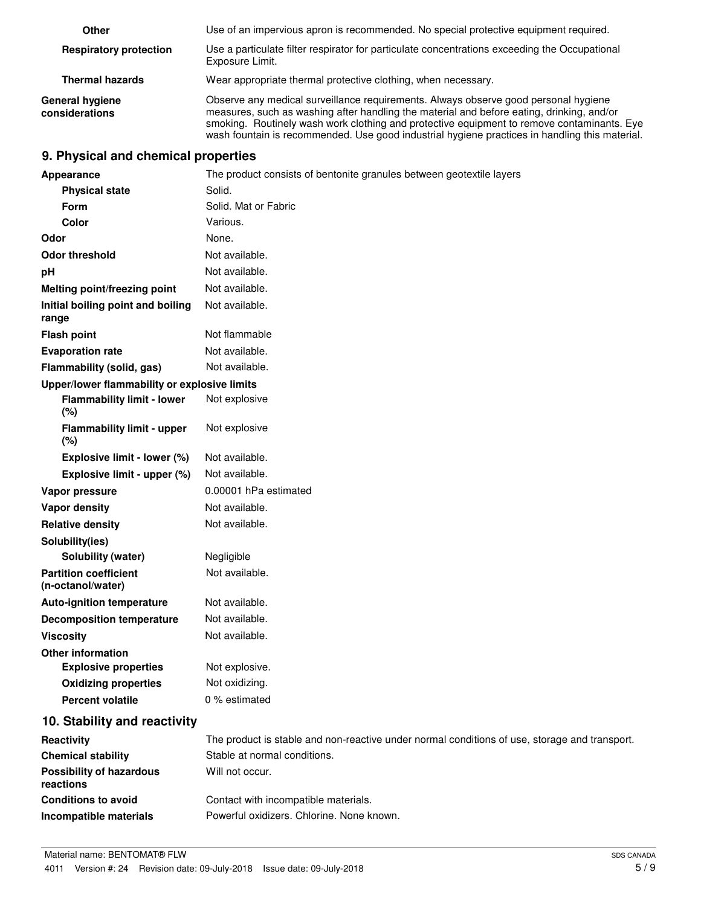| Other                                    | Use of an impervious apron is recommended. No special protective equipment required.                                                                                                                                                                                                                                                                                             |
|------------------------------------------|----------------------------------------------------------------------------------------------------------------------------------------------------------------------------------------------------------------------------------------------------------------------------------------------------------------------------------------------------------------------------------|
| <b>Respiratory protection</b>            | Use a particulate filter respirator for particulate concentrations exceeding the Occupational<br>Exposure Limit.                                                                                                                                                                                                                                                                 |
| <b>Thermal hazards</b>                   | Wear appropriate thermal protective clothing, when necessary.                                                                                                                                                                                                                                                                                                                    |
| <b>General hygiene</b><br>considerations | Observe any medical surveillance requirements. Always observe good personal hygiene<br>measures, such as washing after handling the material and before eating, drinking, and/or<br>smoking. Routinely wash work clothing and protective equipment to remove contaminants. Eye<br>wash fountain is recommended. Use good industrial hygiene practices in handling this material. |

# **9. Physical and chemical properties**

| Appearance                                        | The product consists of bentonite granules between geotextile layers                          |
|---------------------------------------------------|-----------------------------------------------------------------------------------------------|
| <b>Physical state</b>                             | Solid.                                                                                        |
| Form                                              | Solid. Mat or Fabric                                                                          |
| Color                                             | Various.                                                                                      |
| Odor                                              | None.                                                                                         |
| <b>Odor threshold</b>                             | Not available.                                                                                |
| pH                                                | Not available.                                                                                |
| Melting point/freezing point                      | Not available.                                                                                |
| Initial boiling point and boiling<br>range        | Not available.                                                                                |
| <b>Flash point</b>                                | Not flammable                                                                                 |
| <b>Evaporation rate</b>                           | Not available.                                                                                |
| Flammability (solid, gas)                         | Not available.                                                                                |
| Upper/lower flammability or explosive limits      |                                                                                               |
| <b>Flammability limit - lower</b><br>(%)          | Not explosive                                                                                 |
| <b>Flammability limit - upper</b><br>(%)          | Not explosive                                                                                 |
| Explosive limit - lower (%)                       | Not available.                                                                                |
| Explosive limit - upper (%)                       | Not available.                                                                                |
| Vapor pressure                                    | 0.00001 hPa estimated                                                                         |
| Vapor density                                     | Not available.                                                                                |
| <b>Relative density</b>                           | Not available.                                                                                |
| Solubility(ies)                                   |                                                                                               |
| Solubility (water)                                | Negligible                                                                                    |
| <b>Partition coefficient</b><br>(n-octanol/water) | Not available.                                                                                |
| <b>Auto-ignition temperature</b>                  | Not available.                                                                                |
| <b>Decomposition temperature</b>                  | Not available.                                                                                |
| <b>Viscosity</b>                                  | Not available.                                                                                |
| <b>Other information</b>                          |                                                                                               |
| <b>Explosive properties</b>                       | Not explosive.                                                                                |
| <b>Oxidizing properties</b>                       | Not oxidizing.                                                                                |
| <b>Percent volatile</b>                           | 0 % estimated                                                                                 |
| 10. Stability and reactivity                      |                                                                                               |
| Reactivity                                        | The product is stable and non-reactive under normal conditions of use, storage and transport. |
| <b>Chemical stability</b>                         | Stable at normal conditions.                                                                  |
| <b>Possibility of hazardous</b><br>reactions      | Will not occur.                                                                               |
| <b>Conditions to avoid</b>                        | Contact with incompatible materials.                                                          |
| Incompatible materials                            | Powerful oxidizers. Chlorine. None known.                                                     |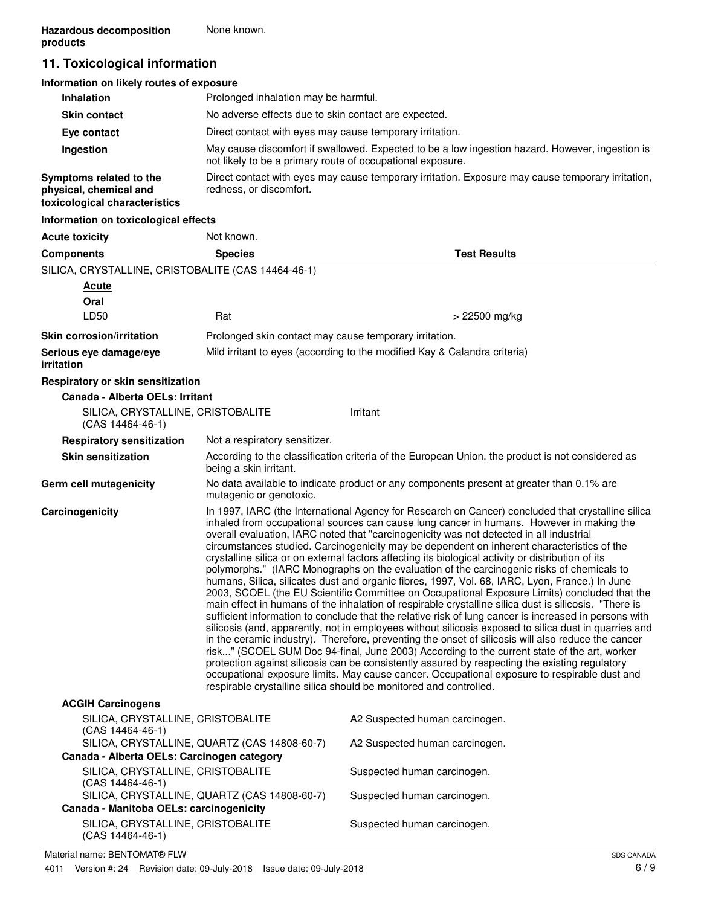# **11. Toxicological information**

| Information on likely routes of exposure                                           |                                                                                                                                                               |
|------------------------------------------------------------------------------------|---------------------------------------------------------------------------------------------------------------------------------------------------------------|
| <b>Inhalation</b>                                                                  | Prolonged inhalation may be harmful.                                                                                                                          |
| <b>Skin contact</b>                                                                | No adverse effects due to skin contact are expected.                                                                                                          |
| Eye contact                                                                        | Direct contact with eyes may cause temporary irritation.                                                                                                      |
| Ingestion                                                                          | May cause discomfort if swallowed. Expected to be a low ingestion hazard. However, ingestion is<br>not likely to be a primary route of occupational exposure. |
| Symptoms related to the<br>physical, chemical and<br>toxicological characteristics | Direct contact with eyes may cause temporary irritation. Exposure may cause temporary irritation,<br>redness, or discomfort.                                  |
| Information on toxicological effects                                               |                                                                                                                                                               |

| <b>Acute toxicity</b>                                   | Not known.                                                                                                                                                                                                                                                                                                                                                                                                                                                                                                                                                                                                                                                                                                                                                                                                                                                                                                                                                                                                                                                                                                                                                                                                                                                                                                                                                                                                                                                                                                                                                                                         |                                                                                                  |
|---------------------------------------------------------|----------------------------------------------------------------------------------------------------------------------------------------------------------------------------------------------------------------------------------------------------------------------------------------------------------------------------------------------------------------------------------------------------------------------------------------------------------------------------------------------------------------------------------------------------------------------------------------------------------------------------------------------------------------------------------------------------------------------------------------------------------------------------------------------------------------------------------------------------------------------------------------------------------------------------------------------------------------------------------------------------------------------------------------------------------------------------------------------------------------------------------------------------------------------------------------------------------------------------------------------------------------------------------------------------------------------------------------------------------------------------------------------------------------------------------------------------------------------------------------------------------------------------------------------------------------------------------------------------|--------------------------------------------------------------------------------------------------|
| <b>Components</b>                                       | <b>Species</b>                                                                                                                                                                                                                                                                                                                                                                                                                                                                                                                                                                                                                                                                                                                                                                                                                                                                                                                                                                                                                                                                                                                                                                                                                                                                                                                                                                                                                                                                                                                                                                                     | <b>Test Results</b>                                                                              |
| SILICA, CRYSTALLINE, CRISTOBALITE (CAS 14464-46-1)      |                                                                                                                                                                                                                                                                                                                                                                                                                                                                                                                                                                                                                                                                                                                                                                                                                                                                                                                                                                                                                                                                                                                                                                                                                                                                                                                                                                                                                                                                                                                                                                                                    |                                                                                                  |
| <b>Acute</b>                                            |                                                                                                                                                                                                                                                                                                                                                                                                                                                                                                                                                                                                                                                                                                                                                                                                                                                                                                                                                                                                                                                                                                                                                                                                                                                                                                                                                                                                                                                                                                                                                                                                    |                                                                                                  |
| Oral                                                    |                                                                                                                                                                                                                                                                                                                                                                                                                                                                                                                                                                                                                                                                                                                                                                                                                                                                                                                                                                                                                                                                                                                                                                                                                                                                                                                                                                                                                                                                                                                                                                                                    |                                                                                                  |
| LD50                                                    | Rat                                                                                                                                                                                                                                                                                                                                                                                                                                                                                                                                                                                                                                                                                                                                                                                                                                                                                                                                                                                                                                                                                                                                                                                                                                                                                                                                                                                                                                                                                                                                                                                                | > 22500 mg/kg                                                                                    |
| <b>Skin corrosion/irritation</b>                        | Prolonged skin contact may cause temporary irritation.                                                                                                                                                                                                                                                                                                                                                                                                                                                                                                                                                                                                                                                                                                                                                                                                                                                                                                                                                                                                                                                                                                                                                                                                                                                                                                                                                                                                                                                                                                                                             |                                                                                                  |
| Serious eye damage/eye<br><i>irritation</i>             |                                                                                                                                                                                                                                                                                                                                                                                                                                                                                                                                                                                                                                                                                                                                                                                                                                                                                                                                                                                                                                                                                                                                                                                                                                                                                                                                                                                                                                                                                                                                                                                                    | Mild irritant to eyes (according to the modified Kay & Calandra criteria)                        |
| Respiratory or skin sensitization                       |                                                                                                                                                                                                                                                                                                                                                                                                                                                                                                                                                                                                                                                                                                                                                                                                                                                                                                                                                                                                                                                                                                                                                                                                                                                                                                                                                                                                                                                                                                                                                                                                    |                                                                                                  |
| Canada - Alberta OELs: Irritant                         |                                                                                                                                                                                                                                                                                                                                                                                                                                                                                                                                                                                                                                                                                                                                                                                                                                                                                                                                                                                                                                                                                                                                                                                                                                                                                                                                                                                                                                                                                                                                                                                                    |                                                                                                  |
| SILICA, CRYSTALLINE, CRISTOBALITE<br>$(CAS 14464-46-1)$ |                                                                                                                                                                                                                                                                                                                                                                                                                                                                                                                                                                                                                                                                                                                                                                                                                                                                                                                                                                                                                                                                                                                                                                                                                                                                                                                                                                                                                                                                                                                                                                                                    | Irritant                                                                                         |
| <b>Respiratory sensitization</b>                        | Not a respiratory sensitizer.                                                                                                                                                                                                                                                                                                                                                                                                                                                                                                                                                                                                                                                                                                                                                                                                                                                                                                                                                                                                                                                                                                                                                                                                                                                                                                                                                                                                                                                                                                                                                                      |                                                                                                  |
| <b>Skin sensitization</b>                               | being a skin irritant.                                                                                                                                                                                                                                                                                                                                                                                                                                                                                                                                                                                                                                                                                                                                                                                                                                                                                                                                                                                                                                                                                                                                                                                                                                                                                                                                                                                                                                                                                                                                                                             | According to the classification criteria of the European Union, the product is not considered as |
| Germ cell mutagenicity                                  | mutagenic or genotoxic.                                                                                                                                                                                                                                                                                                                                                                                                                                                                                                                                                                                                                                                                                                                                                                                                                                                                                                                                                                                                                                                                                                                                                                                                                                                                                                                                                                                                                                                                                                                                                                            | No data available to indicate product or any components present at greater than 0.1% are         |
| Carcinogenicity                                         | In 1997, IARC (the International Agency for Research on Cancer) concluded that crystalline silica<br>inhaled from occupational sources can cause lung cancer in humans. However in making the<br>overall evaluation, IARC noted that "carcinogenicity was not detected in all industrial<br>circumstances studied. Carcinogenicity may be dependent on inherent characteristics of the<br>crystalline silica or on external factors affecting its biological activity or distribution of its<br>polymorphs." (IARC Monographs on the evaluation of the carcinogenic risks of chemicals to<br>humans, Silica, silicates dust and organic fibres, 1997, Vol. 68, IARC, Lyon, France.) In June<br>2003, SCOEL (the EU Scientific Committee on Occupational Exposure Limits) concluded that the<br>main effect in humans of the inhalation of respirable crystalline silica dust is silicosis. "There is<br>sufficient information to conclude that the relative risk of lung cancer is increased in persons with<br>silicosis (and, apparently, not in employees without silicosis exposed to silica dust in quarries and<br>in the ceramic industry). Therefore, preventing the onset of silicosis will also reduce the cancer<br>risk" (SCOEL SUM Doc 94-final, June 2003) According to the current state of the art, worker<br>protection against silicosis can be consistently assured by respecting the existing regulatory<br>occupational exposure limits. May cause cancer. Occupational exposure to respirable dust and<br>respirable crystalline silica should be monitored and controlled. |                                                                                                  |
| <b>ACGIH Carcinogens</b>                                |                                                                                                                                                                                                                                                                                                                                                                                                                                                                                                                                                                                                                                                                                                                                                                                                                                                                                                                                                                                                                                                                                                                                                                                                                                                                                                                                                                                                                                                                                                                                                                                                    |                                                                                                  |
| SILICA, CRYSTALLINE, CRISTOBALITE<br>$(CAS 14464-46-1)$ |                                                                                                                                                                                                                                                                                                                                                                                                                                                                                                                                                                                                                                                                                                                                                                                                                                                                                                                                                                                                                                                                                                                                                                                                                                                                                                                                                                                                                                                                                                                                                                                                    | A2 Suspected human carcinogen.                                                                   |
| Canada - Alberta OELs: Carcinogen category              | SILICA, CRYSTALLINE, QUARTZ (CAS 14808-60-7)                                                                                                                                                                                                                                                                                                                                                                                                                                                                                                                                                                                                                                                                                                                                                                                                                                                                                                                                                                                                                                                                                                                                                                                                                                                                                                                                                                                                                                                                                                                                                       | A2 Suspected human carcinogen.                                                                   |
| SILICA, CRYSTALLINE, CRISTOBALITE                       |                                                                                                                                                                                                                                                                                                                                                                                                                                                                                                                                                                                                                                                                                                                                                                                                                                                                                                                                                                                                                                                                                                                                                                                                                                                                                                                                                                                                                                                                                                                                                                                                    | Suspected human carcinogen.                                                                      |
| $(CAS 14464-46-1)$                                      | SILICA, CRYSTALLINE, QUARTZ (CAS 14808-60-7)                                                                                                                                                                                                                                                                                                                                                                                                                                                                                                                                                                                                                                                                                                                                                                                                                                                                                                                                                                                                                                                                                                                                                                                                                                                                                                                                                                                                                                                                                                                                                       | Suspected human carcinogen.                                                                      |
| Canada - Manitoba OELs: carcinogenicity                 |                                                                                                                                                                                                                                                                                                                                                                                                                                                                                                                                                                                                                                                                                                                                                                                                                                                                                                                                                                                                                                                                                                                                                                                                                                                                                                                                                                                                                                                                                                                                                                                                    |                                                                                                  |
| SILICA, CRYSTALLINE, CRISTOBALITE                       |                                                                                                                                                                                                                                                                                                                                                                                                                                                                                                                                                                                                                                                                                                                                                                                                                                                                                                                                                                                                                                                                                                                                                                                                                                                                                                                                                                                                                                                                                                                                                                                                    | Suspected human carcinogen.                                                                      |

SILICA, CRYSTALLINE, CRISTOBALITE (CAS 14464-46-1)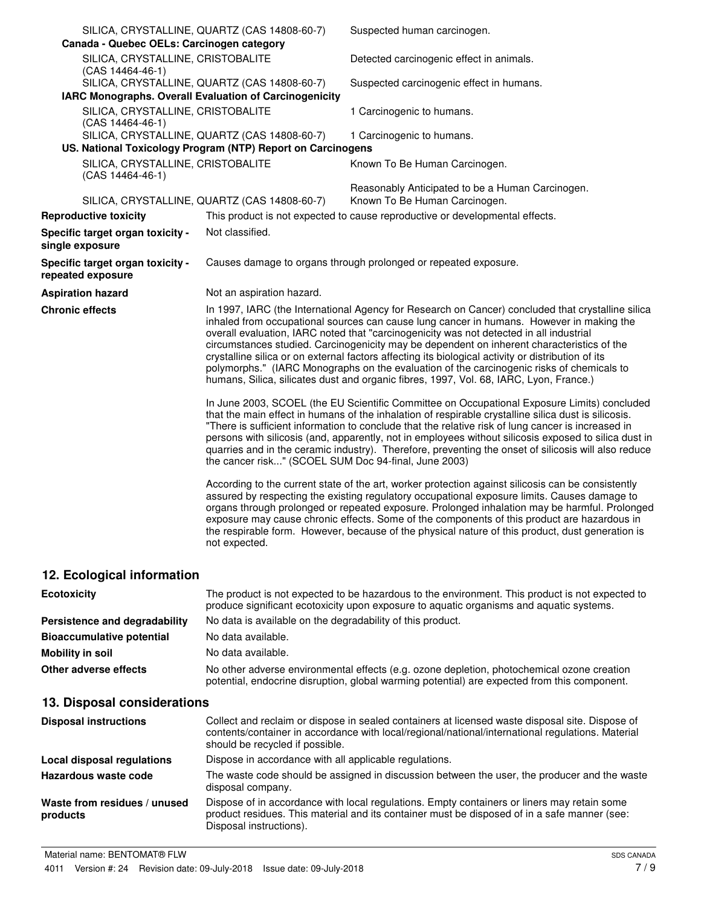| Canada - Quebec OELs: Carcinogen category               | SILICA, CRYSTALLINE, QUARTZ (CAS 14808-60-7)                                                                | Suspected human carcinogen.                                                                                                                                                                                                                                                                                                                                                                                                                                                                                                                                                                                                                                                         |
|---------------------------------------------------------|-------------------------------------------------------------------------------------------------------------|-------------------------------------------------------------------------------------------------------------------------------------------------------------------------------------------------------------------------------------------------------------------------------------------------------------------------------------------------------------------------------------------------------------------------------------------------------------------------------------------------------------------------------------------------------------------------------------------------------------------------------------------------------------------------------------|
| SILICA, CRYSTALLINE, CRISTOBALITE<br>(CAS 14464-46-1)   |                                                                                                             | Detected carcinogenic effect in animals.                                                                                                                                                                                                                                                                                                                                                                                                                                                                                                                                                                                                                                            |
|                                                         | SILICA, CRYSTALLINE, QUARTZ (CAS 14808-60-7)                                                                | Suspected carcinogenic effect in humans.                                                                                                                                                                                                                                                                                                                                                                                                                                                                                                                                                                                                                                            |
| IARC Monographs. Overall Evaluation of Carcinogenicity  |                                                                                                             |                                                                                                                                                                                                                                                                                                                                                                                                                                                                                                                                                                                                                                                                                     |
| SILICA, CRYSTALLINE, CRISTOBALITE<br>$(CAS 14464-46-1)$ |                                                                                                             | 1 Carcinogenic to humans.                                                                                                                                                                                                                                                                                                                                                                                                                                                                                                                                                                                                                                                           |
|                                                         | SILICA, CRYSTALLINE, QUARTZ (CAS 14808-60-7)<br>US. National Toxicology Program (NTP) Report on Carcinogens | 1 Carcinogenic to humans.                                                                                                                                                                                                                                                                                                                                                                                                                                                                                                                                                                                                                                                           |
| SILICA, CRYSTALLINE, CRISTOBALITE<br>(CAS 14464-46-1)   |                                                                                                             | Known To Be Human Carcinogen.                                                                                                                                                                                                                                                                                                                                                                                                                                                                                                                                                                                                                                                       |
|                                                         | SILICA, CRYSTALLINE, QUARTZ (CAS 14808-60-7)                                                                | Reasonably Anticipated to be a Human Carcinogen.<br>Known To Be Human Carcinogen.                                                                                                                                                                                                                                                                                                                                                                                                                                                                                                                                                                                                   |
| <b>Reproductive toxicity</b>                            |                                                                                                             | This product is not expected to cause reproductive or developmental effects.                                                                                                                                                                                                                                                                                                                                                                                                                                                                                                                                                                                                        |
| Specific target organ toxicity -<br>single exposure     | Not classified.                                                                                             |                                                                                                                                                                                                                                                                                                                                                                                                                                                                                                                                                                                                                                                                                     |
| Specific target organ toxicity -<br>repeated exposure   |                                                                                                             | Causes damage to organs through prolonged or repeated exposure.                                                                                                                                                                                                                                                                                                                                                                                                                                                                                                                                                                                                                     |
| <b>Aspiration hazard</b>                                | Not an aspiration hazard.                                                                                   |                                                                                                                                                                                                                                                                                                                                                                                                                                                                                                                                                                                                                                                                                     |
| <b>Chronic effects</b>                                  |                                                                                                             | In 1997, IARC (the International Agency for Research on Cancer) concluded that crystalline silica<br>inhaled from occupational sources can cause lung cancer in humans. However in making the<br>overall evaluation, IARC noted that "carcinogenicity was not detected in all industrial<br>circumstances studied. Carcinogenicity may be dependent on inherent characteristics of the<br>crystalline silica or on external factors affecting its biological activity or distribution of its<br>polymorphs." (IARC Monographs on the evaluation of the carcinogenic risks of chemicals to<br>humans, Silica, silicates dust and organic fibres, 1997, Vol. 68, IARC, Lyon, France.) |
|                                                         | the cancer risk" (SCOEL SUM Doc 94-final, June 2003)                                                        | In June 2003, SCOEL (the EU Scientific Committee on Occupational Exposure Limits) concluded<br>that the main effect in humans of the inhalation of respirable crystalline silica dust is silicosis.<br>"There is sufficient information to conclude that the relative risk of lung cancer is increased in<br>persons with silicosis (and, apparently, not in employees without silicosis exposed to silica dust in<br>quarries and in the ceramic industry). Therefore, preventing the onset of silicosis will also reduce                                                                                                                                                          |
|                                                         | not expected.                                                                                               | According to the current state of the art, worker protection against silicosis can be consistently<br>assured by respecting the existing regulatory occupational exposure limits. Causes damage to<br>organs through prolonged or repeated exposure. Prolonged inhalation may be harmful. Prolonged<br>exposure may cause chronic effects. Some of the components of this product are hazardous in<br>the respirable form. However, because of the physical nature of this product, dust generation is                                                                                                                                                                              |
| 12. Ecological information                              |                                                                                                             |                                                                                                                                                                                                                                                                                                                                                                                                                                                                                                                                                                                                                                                                                     |

| <b>Ecotoxicity</b>               | The product is not expected to be hazardous to the environment. This product is not expected to<br>produce significant ecotoxicity upon exposure to aquatic organisms and aquatic systems. |
|----------------------------------|--------------------------------------------------------------------------------------------------------------------------------------------------------------------------------------------|
| Persistence and degradability    | No data is available on the degradability of this product.                                                                                                                                 |
| <b>Bioaccumulative potential</b> | No data available.                                                                                                                                                                         |
| Mobility in soil                 | No data available.                                                                                                                                                                         |
| Other adverse effects            | No other adverse environmental effects (e.g. ozone depletion, photochemical ozone creation<br>potential, endocrine disruption, global warming potential) are expected from this component. |

# **13. Disposal considerations**

| <b>Disposal instructions</b>             | Collect and reclaim or dispose in sealed containers at licensed waste disposal site. Dispose of<br>contents/container in accordance with local/regional/national/international regulations. Material<br>should be recycled if possible. |
|------------------------------------------|-----------------------------------------------------------------------------------------------------------------------------------------------------------------------------------------------------------------------------------------|
| Local disposal regulations               | Dispose in accordance with all applicable regulations.                                                                                                                                                                                  |
| Hazardous waste code                     | The waste code should be assigned in discussion between the user, the producer and the waste<br>disposal company.                                                                                                                       |
| Waste from residues / unused<br>products | Dispose of in accordance with local regulations. Empty containers or liners may retain some<br>product residues. This material and its container must be disposed of in a safe manner (see:<br>Disposal instructions).                  |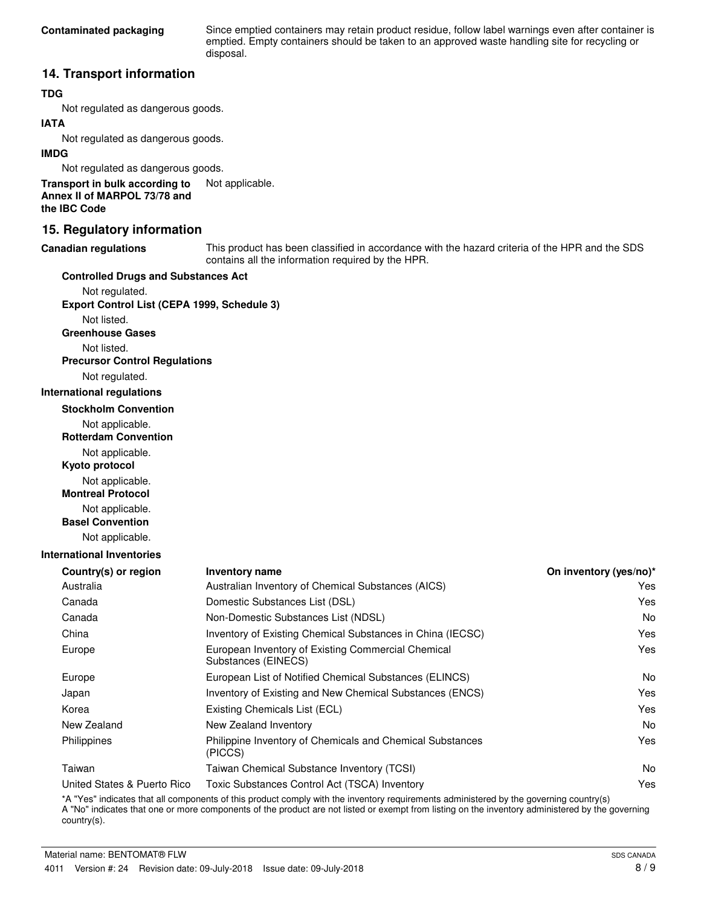Since emptied containers may retain product residue, follow label warnings even after container is emptied. Empty containers should be taken to an approved waste handling site for recycling or disposal.

## **14. Transport information**

### **TDG**

Not regulated as dangerous goods.

## **IATA**

Not regulated as dangerous goods.

#### **IMDG**

Not regulated as dangerous goods.

**Transport in bulk according to** Not applicable. **Annex II of MARPOL 73/78 and the IBC Code**

## **15. Regulatory information**

#### **Canadian regulations**

This product has been classified in accordance with the hazard criteria of the HPR and the SDS contains all the information required by the HPR.

#### **Controlled Drugs and Substances Act**

Not regulated. **Export Control List (CEPA 1999, Schedule 3)**

Not listed. **Greenhouse Gases**

Not listed.

**Precursor Control Regulations**

Not regulated.

#### **International regulations**

**Stockholm Convention**

Not applicable.

**Rotterdam Convention**

Not applicable.

**Kyoto protocol**

Not applicable.

**Montreal Protocol**

Not applicable.

**Basel Convention**

Not applicable.

#### **International Inventories**

| <b>Inventory name</b>                                                     | On inventory (yes/no)* |
|---------------------------------------------------------------------------|------------------------|
| Australian Inventory of Chemical Substances (AICS)                        | Yes                    |
| Domestic Substances List (DSL)                                            | Yes                    |
| Non-Domestic Substances List (NDSL)                                       | No.                    |
| Inventory of Existing Chemical Substances in China (IECSC)                | Yes                    |
| European Inventory of Existing Commercial Chemical<br>Substances (EINECS) | Yes                    |
| European List of Notified Chemical Substances (ELINCS)                    | N <sub>0</sub>         |
| Inventory of Existing and New Chemical Substances (ENCS)                  | Yes                    |
| Existing Chemicals List (ECL)                                             | Yes                    |
| New Zealand Inventory                                                     | No.                    |
| Philippine Inventory of Chemicals and Chemical Substances<br>(PICCS)      | Yes                    |
| Taiwan Chemical Substance Inventory (TCSI)                                | No.                    |
| Toxic Substances Control Act (TSCA) Inventory                             | Yes                    |
|                                                                           |                        |

\*A "Yes" indicates that all components of this product comply with the inventory requirements administered by the governing country(s) A "No" indicates that one or more components of the product are not listed or exempt from listing on the inventory administered by the governing country(s).